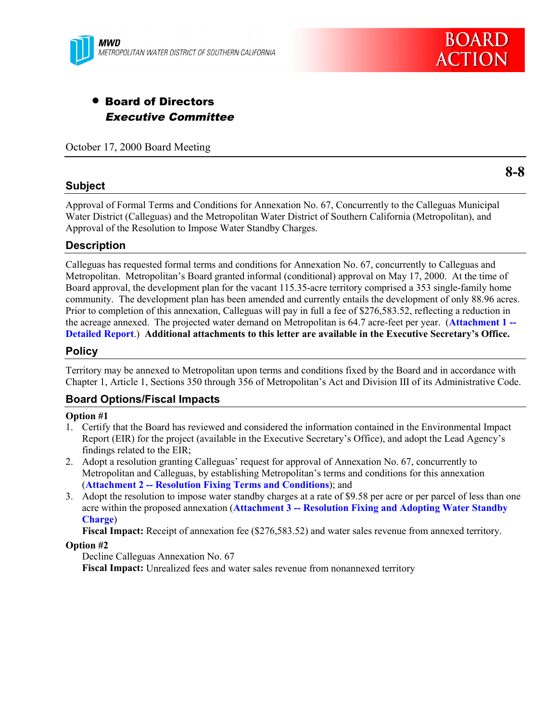

# • Board of Directors Executive Committee

October 17, 2000 Board Meeting

### **Subject**

**8-8**

Approval of Formal Terms and Conditions for Annexation No. 67, Concurrently to the Calleguas Municipal Water District (Calleguas) and the Metropolitan Water District of Southern California (Metropolitan), and Approval of the Resolution to Impose Water Standby Charges.

### **Description**

Calleguas has requested formal terms and conditions for Annexation No. 67, concurrently to Calleguas and Metropolitan. Metropolitan's Board granted informal (conditional) approval on May 17, 2000. At the time of Board approval, the development plan for the vacant 115.35-acre territory comprised a 353 single-family home community. The development plan has been amended and currently entails the development of only 88.96 acres. Prior to completion of this annexation, Calleguas will pay in full a fee of \$276,583.52, reflecting a reduction in the acreage annexed. The projected water demand on Metropolitan is 64.7 acre-feet per year. (**Attachment 1 -- Detailed Report**.) **Additional attachments to this letter are available in the Executive Secretary's Office.**

### **Policy**

Territory may be annexed to Metropolitan upon terms and conditions fixed by the Board and in accordance with Chapter 1, Article 1, Sections 350 through 356 of Metropolitan's Act and Division III of its Administrative Code.

### **Board Options/Fiscal Impacts**

#### **Option #1**

- 1. Certify that the Board has reviewed and considered the information contained in the Environmental Impact Report (EIR) for the project (available in the Executive Secretary's Office), and adopt the Lead Agency's findings related to the EIR;
- 2. Adopt a resolution granting Calleguas' request for approval of Annexation No. 67, concurrently to Metropolitan and Calleguas, by establishing Metropolitan's terms and conditions for this annexation (**Attachment 2 -- Resolution Fixing Terms and Conditions**); and
- 3. Adopt the resolution to impose water standby charges at a rate of \$9.58 per acre or per parcel of less than one acre within the proposed annexation (**Attachment 3 -- Resolution Fixing and Adopting Water Standby Charge**)

**Fiscal Impact:** Receipt of annexation fee (\$276,583.52) and water sales revenue from annexed territory.

#### **Option #2**

Decline Calleguas Annexation No. 67

**Fiscal Impact:** Unrealized fees and water sales revenue from nonannexed territory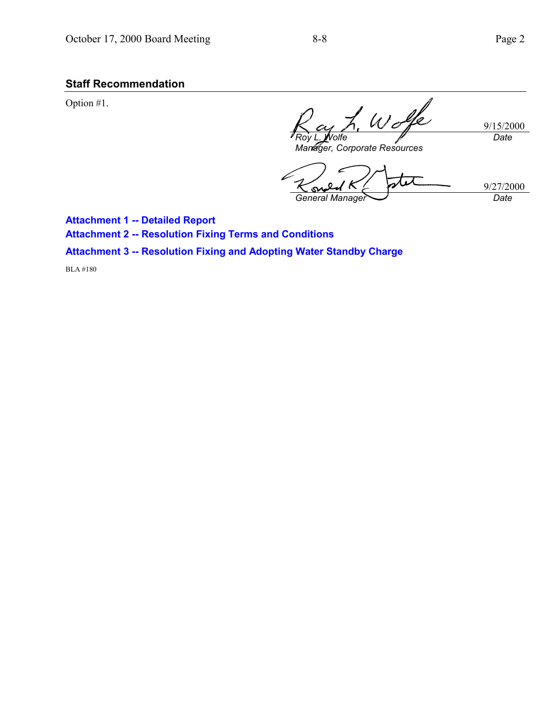# **Staff Recommendation**

Option #1.

Wolfe 9/15/2000 *Date Roy L. Wolfe*

*Manager, Corporate Resources*

9/27/2000 S *General Manager Date*

**Attachment 1 -- Detailed Report Attachment 2 -- Resolution Fixing Terms and Conditions Attachment 3 -- Resolution Fixing and Adopting Water Standby Charge**

BLA #180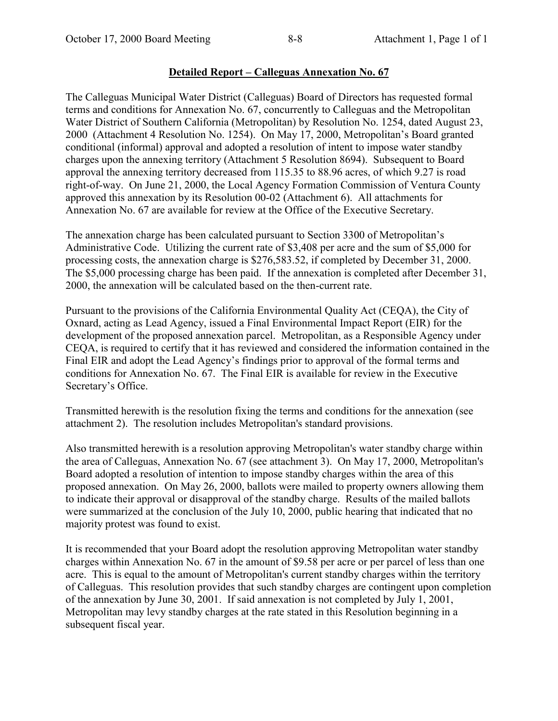### **Detailed Report – Calleguas Annexation No. 67**

The Calleguas Municipal Water District (Calleguas) Board of Directors has requested formal terms and conditions for Annexation No. 67, concurrently to Calleguas and the Metropolitan Water District of Southern California (Metropolitan) by Resolution No. 1254, dated August 23, 2000 (Attachment 4 Resolution No. 1254). On May 17, 2000, Metropolitan's Board granted conditional (informal) approval and adopted a resolution of intent to impose water standby charges upon the annexing territory (Attachment 5 Resolution 8694). Subsequent to Board approval the annexing territory decreased from 115.35 to 88.96 acres, of which 9.27 is road right-of-way. On June 21, 2000, the Local Agency Formation Commission of Ventura County approved this annexation by its Resolution 00-02 (Attachment 6). All attachments for Annexation No. 67 are available for review at the Office of the Executive Secretary.

The annexation charge has been calculated pursuant to Section 3300 of Metropolitan's Administrative Code. Utilizing the current rate of \$3,408 per acre and the sum of \$5,000 for processing costs, the annexation charge is \$276,583.52, if completed by December 31, 2000. The \$5,000 processing charge has been paid. If the annexation is completed after December 31, 2000, the annexation will be calculated based on the then-current rate.

Pursuant to the provisions of the California Environmental Quality Act (CEQA), the City of Oxnard, acting as Lead Agency, issued a Final Environmental Impact Report (EIR) for the development of the proposed annexation parcel. Metropolitan, as a Responsible Agency under CEQA, is required to certify that it has reviewed and considered the information contained in the Final EIR and adopt the Lead Agency's findings prior to approval of the formal terms and conditions for Annexation No. 67. The Final EIR is available for review in the Executive Secretary's Office.

Transmitted herewith is the resolution fixing the terms and conditions for the annexation (see attachment 2). The resolution includes Metropolitan's standard provisions.

Also transmitted herewith is a resolution approving Metropolitan's water standby charge within the area of Calleguas, Annexation No. 67 (see attachment 3). On May 17, 2000, Metropolitan's Board adopted a resolution of intention to impose standby charges within the area of this proposed annexation. On May 26, 2000, ballots were mailed to property owners allowing them to indicate their approval or disapproval of the standby charge. Results of the mailed ballots were summarized at the conclusion of the July 10, 2000, public hearing that indicated that no majority protest was found to exist.

It is recommended that your Board adopt the resolution approving Metropolitan water standby charges within Annexation No. 67 in the amount of \$9.58 per acre or per parcel of less than one acre. This is equal to the amount of Metropolitan's current standby charges within the territory of Calleguas. This resolution provides that such standby charges are contingent upon completion of the annexation by June 30, 2001. If said annexation is not completed by July 1, 2001, Metropolitan may levy standby charges at the rate stated in this Resolution beginning in a subsequent fiscal year.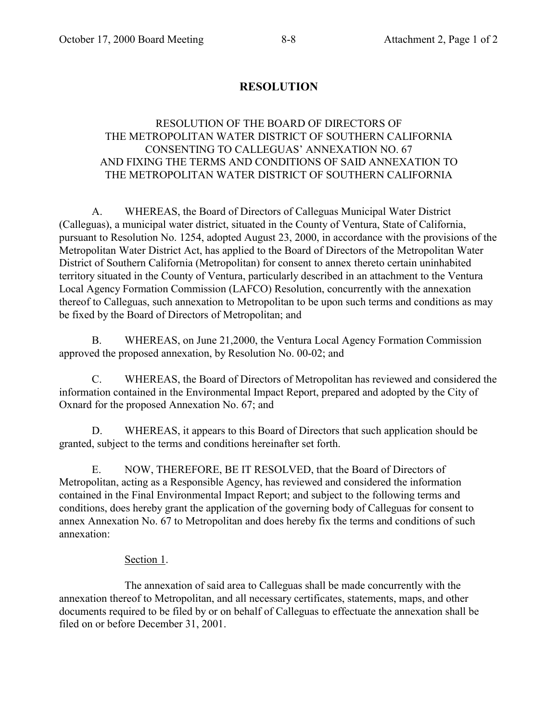# **RESOLUTION**

## RESOLUTION OF THE BOARD OF DIRECTORS OF THE METROPOLITAN WATER DISTRICT OF SOUTHERN CALIFORNIA CONSENTING TO CALLEGUAS' ANNEXATION NO. 67 AND FIXING THE TERMS AND CONDITIONS OF SAID ANNEXATION TO THE METROPOLITAN WATER DISTRICT OF SOUTHERN CALIFORNIA

A. WHEREAS, the Board of Directors of Calleguas Municipal Water District (Calleguas), a municipal water district, situated in the County of Ventura, State of California, pursuant to Resolution No. 1254, adopted August 23, 2000, in accordance with the provisions of the Metropolitan Water District Act, has applied to the Board of Directors of the Metropolitan Water District of Southern California (Metropolitan) for consent to annex thereto certain uninhabited territory situated in the County of Ventura, particularly described in an attachment to the Ventura Local Agency Formation Commission (LAFCO) Resolution, concurrently with the annexation thereof to Calleguas, such annexation to Metropolitan to be upon such terms and conditions as may be fixed by the Board of Directors of Metropolitan; and

B. WHEREAS, on June 21,2000, the Ventura Local Agency Formation Commission approved the proposed annexation, by Resolution No. 00-02; and

C. WHEREAS, the Board of Directors of Metropolitan has reviewed and considered the information contained in the Environmental Impact Report, prepared and adopted by the City of Oxnard for the proposed Annexation No. 67; and

D. WHEREAS, it appears to this Board of Directors that such application should be granted, subject to the terms and conditions hereinafter set forth.

E. NOW, THEREFORE, BE IT RESOLVED, that the Board of Directors of Metropolitan, acting as a Responsible Agency, has reviewed and considered the information contained in the Final Environmental Impact Report; and subject to the following terms and conditions, does hereby grant the application of the governing body of Calleguas for consent to annex Annexation No. 67 to Metropolitan and does hereby fix the terms and conditions of such annexation:

### Section 1.

The annexation of said area to Calleguas shall be made concurrently with the annexation thereof to Metropolitan, and all necessary certificates, statements, maps, and other documents required to be filed by or on behalf of Calleguas to effectuate the annexation shall be filed on or before December 31, 2001.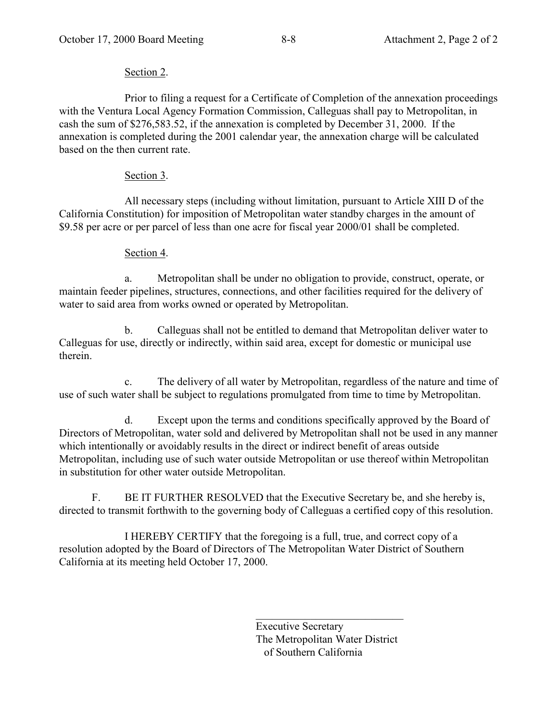# Section 2.

Prior to filing a request for a Certificate of Completion of the annexation proceedings with the Ventura Local Agency Formation Commission, Calleguas shall pay to Metropolitan, in cash the sum of \$276,583.52, if the annexation is completed by December 31, 2000. If the annexation is completed during the 2001 calendar year, the annexation charge will be calculated based on the then current rate.

# Section 3.

All necessary steps (including without limitation, pursuant to Article XIII D of the California Constitution) for imposition of Metropolitan water standby charges in the amount of \$9.58 per acre or per parcel of less than one acre for fiscal year 2000/01 shall be completed.

# Section 4.

a. Metropolitan shall be under no obligation to provide, construct, operate, or maintain feeder pipelines, structures, connections, and other facilities required for the delivery of water to said area from works owned or operated by Metropolitan.

b. Calleguas shall not be entitled to demand that Metropolitan deliver water to Calleguas for use, directly or indirectly, within said area, except for domestic or municipal use therein.

c. The delivery of all water by Metropolitan, regardless of the nature and time of use of such water shall be subject to regulations promulgated from time to time by Metropolitan.

d. Except upon the terms and conditions specifically approved by the Board of Directors of Metropolitan, water sold and delivered by Metropolitan shall not be used in any manner which intentionally or avoidably results in the direct or indirect benefit of areas outside Metropolitan, including use of such water outside Metropolitan or use thereof within Metropolitan in substitution for other water outside Metropolitan.

F. BE IT FURTHER RESOLVED that the Executive Secretary be, and she hereby is, directed to transmit forthwith to the governing body of Calleguas a certified copy of this resolution.

I HEREBY CERTIFY that the foregoing is a full, true, and correct copy of a resolution adopted by the Board of Directors of The Metropolitan Water District of Southern California at its meeting held October 17, 2000.

> Executive Secretary The Metropolitan Water District of Southern California

 $\mathcal{L}=\mathcal{L}=\mathcal{L}=\mathcal{L}=\mathcal{L}=\mathcal{L}=\mathcal{L}=\mathcal{L}=\mathcal{L}=\mathcal{L}=\mathcal{L}=\mathcal{L}=\mathcal{L}=\mathcal{L}=\mathcal{L}=\mathcal{L}=\mathcal{L}=\mathcal{L}=\mathcal{L}=\mathcal{L}=\mathcal{L}=\mathcal{L}=\mathcal{L}=\mathcal{L}=\mathcal{L}=\mathcal{L}=\mathcal{L}=\mathcal{L}=\mathcal{L}=\mathcal{L}=\mathcal{L}=\mathcal{L}=\mathcal{L}=\mathcal{L}=\mathcal{L}=\mathcal{L}=\mathcal{$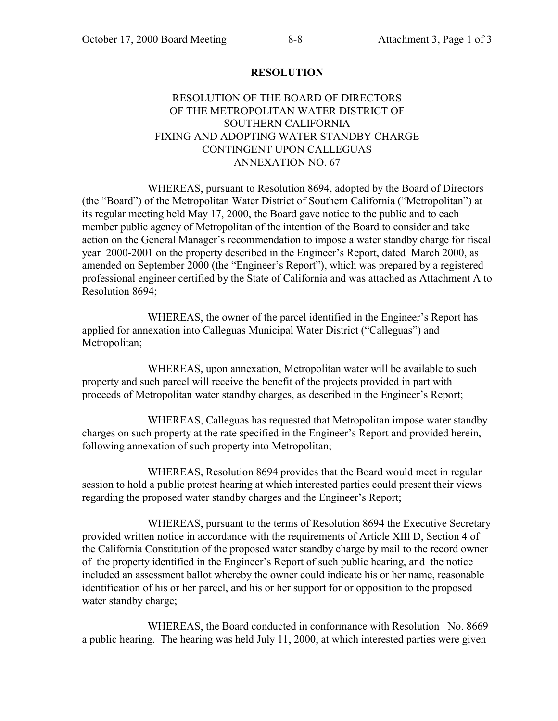### **RESOLUTION**

### RESOLUTION OF THE BOARD OF DIRECTORS OF THE METROPOLITAN WATER DISTRICT OF SOUTHERN CALIFORNIA FIXING AND ADOPTING WATER STANDBY CHARGE CONTINGENT UPON CALLEGUAS ANNEXATION NO. 67

WHEREAS, pursuant to Resolution 8694, adopted by the Board of Directors (the "Board") of the Metropolitan Water District of Southern California ("Metropolitan") at its regular meeting held May 17, 2000, the Board gave notice to the public and to each member public agency of Metropolitan of the intention of the Board to consider and take action on the General Manager's recommendation to impose a water standby charge for fiscal year 2000-2001 on the property described in the Engineer's Report, dated March 2000, as amended on September 2000 (the "Engineer's Report"), which was prepared by a registered professional engineer certified by the State of California and was attached as Attachment A to Resolution 8694;

WHEREAS, the owner of the parcel identified in the Engineer's Report has applied for annexation into Calleguas Municipal Water District ("Calleguas") and Metropolitan;

WHEREAS, upon annexation, Metropolitan water will be available to such property and such parcel will receive the benefit of the projects provided in part with proceeds of Metropolitan water standby charges, as described in the Engineer's Report;

WHEREAS, Calleguas has requested that Metropolitan impose water standby charges on such property at the rate specified in the Engineer's Report and provided herein, following annexation of such property into Metropolitan;

WHEREAS, Resolution 8694 provides that the Board would meet in regular session to hold a public protest hearing at which interested parties could present their views regarding the proposed water standby charges and the Engineer's Report;

WHEREAS, pursuant to the terms of Resolution 8694 the Executive Secretary provided written notice in accordance with the requirements of Article XIII D, Section 4 of the California Constitution of the proposed water standby charge by mail to the record owner of the property identified in the Engineer's Report of such public hearing, and the notice included an assessment ballot whereby the owner could indicate his or her name, reasonable identification of his or her parcel, and his or her support for or opposition to the proposed water standby charge;

WHEREAS, the Board conducted in conformance with Resolution No. 8669 a public hearing. The hearing was held July 11, 2000, at which interested parties were given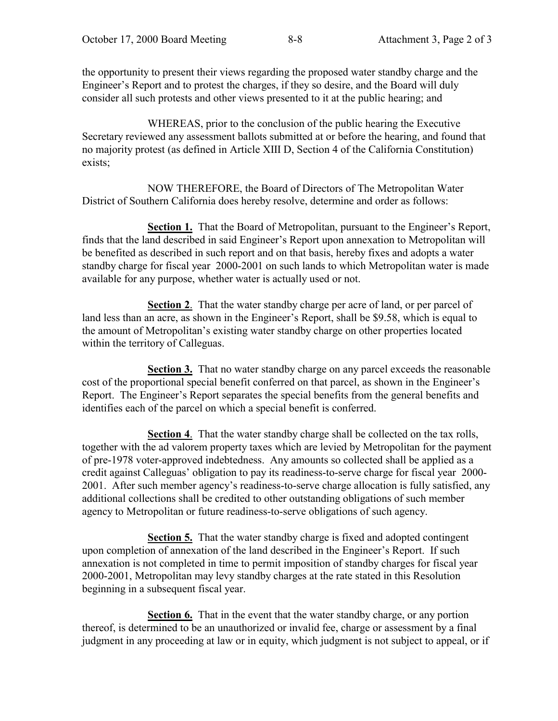the opportunity to present their views regarding the proposed water standby charge and the Engineer's Report and to protest the charges, if they so desire, and the Board will duly consider all such protests and other views presented to it at the public hearing; and

WHEREAS, prior to the conclusion of the public hearing the Executive Secretary reviewed any assessment ballots submitted at or before the hearing, and found that no majority protest (as defined in Article XIII D, Section 4 of the California Constitution) exists;

NOW THEREFORE, the Board of Directors of The Metropolitan Water District of Southern California does hereby resolve, determine and order as follows:

**Section 1.** That the Board of Metropolitan, pursuant to the Engineer's Report, finds that the land described in said Engineer's Report upon annexation to Metropolitan will be benefited as described in such report and on that basis, hereby fixes and adopts a water standby charge for fiscal year 2000-2001 on such lands to which Metropolitan water is made available for any purpose, whether water is actually used or not.

**Section 2**. That the water standby charge per acre of land, or per parcel of land less than an acre, as shown in the Engineer's Report, shall be \$9.58, which is equal to the amount of Metropolitan's existing water standby charge on other properties located within the territory of Calleguas.

**Section 3.** That no water standby charge on any parcel exceeds the reasonable cost of the proportional special benefit conferred on that parcel, as shown in the Engineer's Report. The Engineer's Report separates the special benefits from the general benefits and identifies each of the parcel on which a special benefit is conferred.

**Section 4**. That the water standby charge shall be collected on the tax rolls, together with the ad valorem property taxes which are levied by Metropolitan for the payment of pre-1978 voter-approved indebtedness. Any amounts so collected shall be applied as a credit against Calleguas' obligation to pay its readiness-to-serve charge for fiscal year 2000- 2001. After such member agency's readiness-to-serve charge allocation is fully satisfied, any additional collections shall be credited to other outstanding obligations of such member agency to Metropolitan or future readiness-to-serve obligations of such agency.

**Section 5.** That the water standby charge is fixed and adopted contingent upon completion of annexation of the land described in the Engineer's Report. If such annexation is not completed in time to permit imposition of standby charges for fiscal year 2000-2001, Metropolitan may levy standby charges at the rate stated in this Resolution beginning in a subsequent fiscal year.

**Section 6.** That in the event that the water standby charge, or any portion thereof, is determined to be an unauthorized or invalid fee, charge or assessment by a final judgment in any proceeding at law or in equity, which judgment is not subject to appeal, or if